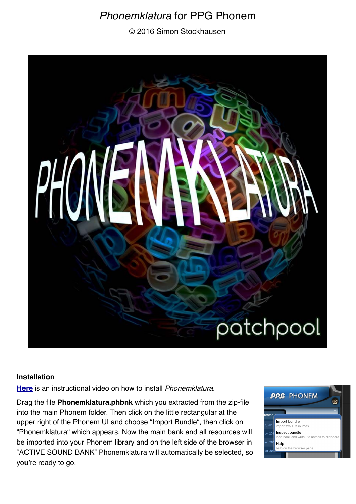# *Phonemklatura* for PPG Phonem

© 2016 Simon Stockhausen



#### **Installation**

**[Here](https://www.youtube.com/watch?v=d-gcp0BLn4U)** is an instructional video on how to install *Phonemklatura*.

Drag the file **Phonemklatura.phbnk** which you extracted from the zip-file into the main Phonem folder. Then click on the little rectangular at the upper right of the Phonem UI and choose "Import Bundle", then click on "Phonemklatura" which appears. Now the main bank and all resources will be imported into your Phonem library and on the left side of the browser in "ACTIVE SOUND BANK" Phonemklatura will automatically be selected, so you're ready to go.

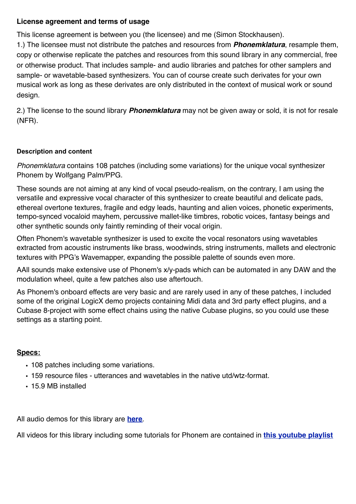## **License agreement and terms of usage**

This license agreement is between you (the licensee) and me (Simon Stockhausen).

1.) The licensee must not distribute the patches and resources from *Phonemklatura*, resample them, copy or otherwise replicate the patches and resources from this sound library in any commercial, free or otherwise product. That includes sample- and audio libraries and patches for other samplers and sample- or wavetable-based synthesizers. You can of course create such derivates for your own musical work as long as these derivates are only distributed in the context of musical work or sound design.

2.) The license to the sound library *Phonemklatura* may not be given away or sold, it is not for resale (NFR).

### **Description and content**

*Phonemklatura* contains 108 patches (including some variations) for the unique vocal synthesizer Phonem by Wolfgang Palm/PPG.

These sounds are not aiming at any kind of vocal pseudo-realism, on the contrary, I am using the versatile and expressive vocal character of this synthesizer to create beautiful and delicate pads, ethereal overtone textures, fragile and edgy leads, haunting and alien voices, phonetic experiments, tempo-synced vocaloid mayhem, percussive mallet-like timbres, robotic voices, fantasy beings and other synthetic sounds only faintly reminding of their vocal origin.

Often Phonem's wavetable synthesizer is used to excite the vocal resonators using wavetables extracted from acoustic instruments like brass, woodwinds, string instruments, mallets and electronic textures with PPG's Wavemapper, expanding the possible palette of sounds even more.

AAll sounds make extensive use of Phonem's x/y-pads which can be automated in any DAW and the modulation wheel, quite a few patches also use aftertouch.

As Phonem's onboard effects are very basic and are rarely used in any of these patches, I included some of the original LogicX demo projects containing Midi data and 3rd party effect plugins, and a Cubase 8-project with some effect chains using the native Cubase plugins, so you could use these settings as a starting point.

## **Specs:**

- 108 patches including some variations.
- 159 resource files utterances and wavetables in the native utd/wtz-format.
- 15.9 MB installed

All audio demos for this library are **[here](https://soundcloud.com/sampleconstruct/sets/phonem-experiments)**.

All videos for this library including some tutorials for Phonem are contained in **[this youtube playlist](https://www.youtube.com/playlist?list=PLdDy6n1e-aeMtad3hfjld9fjEsJ9djdDt)**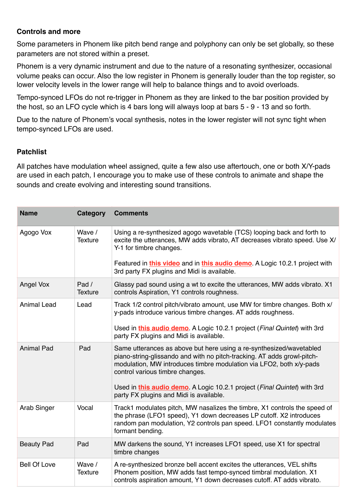## **Controls and more**

Some parameters in Phonem like pitch bend range and polyphony can only be set globally, so these parameters are not stored within a preset.

Phonem is a very dynamic instrument and due to the nature of a resonating synthesizer, occasional volume peaks can occur. Also the low register in Phonem is generally louder than the top register, so lower velocity levels in the lower range will help to balance things and to avoid overloads.

Tempo-synced LFOs do not re-trigger in Phonem as they are linked to the bar position provided by the host, so an LFO cycle which is 4 bars long will always loop at bars 5 - 9 - 13 and so forth.

Due to the nature of Phonem's vocal synthesis, notes in the lower register will not sync tight when tempo-synced LFOs are used.

## **Patchlist**

All patches have modulation wheel assigned, quite a few also use aftertouch, one or both X/Y-pads are used in each patch, I encourage you to make use of these controls to animate and shape the sounds and create evolving and interesting sound transitions.

| <b>Name</b>         | Category                 | <b>Comments</b>                                                                                                                                                                                                                                               |
|---------------------|--------------------------|---------------------------------------------------------------------------------------------------------------------------------------------------------------------------------------------------------------------------------------------------------------|
| Agogo Vox           | Wave /<br><b>Texture</b> | Using a re-synthesized agogo wavetable (TCS) looping back and forth to<br>excite the utterances, MW adds vibrato, AT decreases vibrato speed. Use X/<br>Y-1 for timbre changes.<br>Featured in this video and in this audio demo. A Logic 10.2.1 project with |
|                     |                          | 3rd party FX plugins and Midi is available.                                                                                                                                                                                                                   |
| Angel Vox           | Pad /<br><b>Texture</b>  | Glassy pad sound using a wt to excite the utterances, MW adds vibrato. X1<br>controls Aspiration, Y1 controls roughness.                                                                                                                                      |
| <b>Animal Lead</b>  | Lead                     | Track 1/2 control pitch/vibrato amount, use MW for timbre changes. Both x/<br>y-pads introduce various timbre changes. AT adds roughness.                                                                                                                     |
|                     |                          | Used in this audio demo. A Logic 10.2.1 project (Final Quintet) with 3rd<br>party FX plugins and Midi is available.                                                                                                                                           |
| <b>Animal Pad</b>   | Pad                      | Same utterances as above but here using a re-synthesized/wavetabled<br>piano-string-glissando and with no pitch-tracking. AT adds growl-pitch-<br>modulation, MW introduces timbre modulation via LFO2, both x/y-pads<br>control various timbre changes.      |
|                     |                          | Used in this audio demo. A Logic 10.2.1 project (Final Quintet) with 3rd<br>party FX plugins and Midi is available.                                                                                                                                           |
| Arab Singer         | Vocal                    | Track1 modulates pitch, MW nasalizes the timbre, X1 controls the speed of<br>the phrase (LFO1 speed), Y1 down decreases LP cutoff. X2 introduces<br>random pan modulation, Y2 controls pan speed. LFO1 constantly modulates<br>formant bending.               |
| <b>Beauty Pad</b>   | Pad                      | MW darkens the sound, Y1 increases LFO1 speed, use X1 for spectral<br>timbre changes                                                                                                                                                                          |
| <b>Bell Of Love</b> | Wave /<br><b>Texture</b> | A re-synthesized bronze bell accent excites the utterances, VEL shifts<br>Phonem position, MW adds fast tempo-synced timbral modulation. X1<br>controls aspiration amount, Y1 down decreases cutoff. AT adds vibrato.                                         |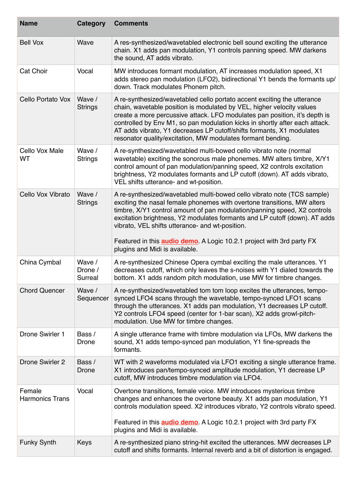| <b>Name</b>                      | Category                     | <b>Comments</b>                                                                                                                                                                                                                                                                                                                                                                                                                                                                    |
|----------------------------------|------------------------------|------------------------------------------------------------------------------------------------------------------------------------------------------------------------------------------------------------------------------------------------------------------------------------------------------------------------------------------------------------------------------------------------------------------------------------------------------------------------------------|
| <b>Bell Vox</b>                  | Wave                         | A res-synthesized/wavetabled electronic bell sound exciting the utterance<br>chain. X1 adds pan modulation, Y1 controls panning speed. MW darkens<br>the sound, AT adds vibrato.                                                                                                                                                                                                                                                                                                   |
| Cat Choir                        | Vocal                        | MW introduces formant modulation, AT increases modulation speed, X1<br>adds stereo pan modulation (LFO2), bidirectional Y1 bends the formants up/<br>down. Track modulates Phonem pitch.                                                                                                                                                                                                                                                                                           |
| Cello Portato Vox                | Wave /<br><b>Strings</b>     | A re-synthesized/wavetabled cello portato accent exciting the utterance<br>chain, wavetable position is modulated by VEL, higher velocity values<br>create a more percussive attack. LFO modulates pan position, it's depth is<br>controlled by Env M1, so pan modulation kicks in shortly after each attack.<br>AT adds vibrato, Y1 decreases LP cutoff/shifts formants, X1 modulates<br>resonator quality/excitation, MW modulates formant bending.                              |
| Cello Vox Male<br>WT             | Wave /<br><b>Strings</b>     | A re-synthesized/wavetabled multi-bowed cello vibrato note (normal<br>wavetable) exciting the sonorous male phonemes. MW alters timbre, X/Y1<br>control amount of pan modulation/panning speed, X2 controls excitation<br>brightness, Y2 modulates formants and LP cutoff (down). AT adds vibrato,<br>VEL shifts utterance- and wt-position.                                                                                                                                       |
| Cello Vox Vibrato                | Wave /<br><b>Strings</b>     | A re-synthesized/wavetabled multi-bowed cello vibrato note (TCS sample)<br>exciting the nasal female phonemes with overtone transitions, MW alters<br>timbre, X/Y1 control amount of pan modulation/panning speed, X2 controls<br>excitation brightness, Y2 modulates formants and LP cutoff (down). AT adds<br>vibrato, VEL shifts utterance- and wt-position.<br>Featured in this <b>audio demo</b> . A Logic 10.2.1 project with 3rd party FX<br>plugins and Midi is available. |
| China Cymbal                     | Wave /<br>Drone /<br>Surreal | A re-synthesized Chinese Opera cymbal exciting the male utterances. Y1<br>decreases cutoff, which only leaves the s-noises with Y1 dialed towards the<br>bottom. X1 adds random pitch modulation, use MW for timbre changes.                                                                                                                                                                                                                                                       |
| <b>Chord Quencer</b>             | Wave /<br>Sequencer          | A re-synthesized/wavetabled tom tom loop excites the utterances, tempo-<br>synced LFO4 scans through the wavetable, tempo-synced LFO1 scans<br>through the utterances. X1 adds pan modulation, Y1 decreases LP cutoff.<br>Y2 controls LFO4 speed (center for 1-bar scan), X2 adds growl-pitch-<br>modulation. Use MW for timbre changes.                                                                                                                                           |
| Drone Swirler 1                  | Bass /<br>Drone              | A single utterance frame with timbre modulation via LFOs, MW darkens the<br>sound, X1 adds tempo-synced pan modulation, Y1 fine-spreads the<br>formants.                                                                                                                                                                                                                                                                                                                           |
| <b>Drone Swirler 2</b>           | Bass /<br>Drone              | WT with 2 waveforms modulated via LFO1 exciting a single utterance frame.<br>X1 introduces pan/tempo-synced amplitude modulation, Y1 decrease LP<br>cutoff, MW introduces timbre modulation via LFO4.                                                                                                                                                                                                                                                                              |
| Female<br><b>Harmonics Trans</b> | Vocal                        | Overtone transitions, female voice. MW introduces mysterious timbre<br>changes and enhances the overtone beauty. X1 adds pan modulation, Y1<br>controls modulation speed. X2 introduces vibrato, Y2 controls vibrato speed.<br>Featured in this <b>audio demo</b> . A Logic 10.2.1 project with 3rd party FX<br>plugins and Midi is available.                                                                                                                                     |
| <b>Funky Synth</b>               | Keys                         | A re-synthesized piano string-hit excited the utterances. MW decreases LP<br>cutoff and shifts formants. Internal reverb and a bit of distortion is engaged.                                                                                                                                                                                                                                                                                                                       |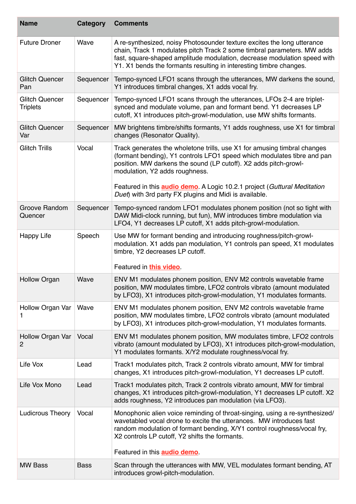| <b>Name</b>                              | Category    | <b>Comments</b>                                                                                                                                                                                                                                                                                                                               |
|------------------------------------------|-------------|-----------------------------------------------------------------------------------------------------------------------------------------------------------------------------------------------------------------------------------------------------------------------------------------------------------------------------------------------|
| <b>Future Droner</b>                     | Wave        | A re-synthesized, noisy Photosounder texture excites the long utterance<br>chain, Track 1 modulates pitch Track 2 some timbral parameters. MW adds<br>fast, square-shaped amplitude modulation, decrease modulation speed with<br>Y1. X1 bends the formants resulting in interesting timbre changes.                                          |
| <b>Glitch Quencer</b><br>Pan             | Sequencer   | Tempo-synced LFO1 scans through the utterances, MW darkens the sound,<br>Y1 introduces timbral changes, X1 adds vocal fry.                                                                                                                                                                                                                    |
| <b>Glitch Quencer</b><br><b>Triplets</b> | Sequencer   | Tempo-synced LFO1 scans through the utterances, LFOs 2-4 are triplet-<br>synced and modulate volume, pan and formant bend. Y1 decreases LP<br>cutoff, X1 introduces pitch-growl-modulation, use MW shifts formants.                                                                                                                           |
| <b>Glitch Quencer</b><br>Var             | Sequencer   | MW brightens timbre/shifts formants, Y1 adds roughness, use X1 for timbral<br>changes (Resonator Quality).                                                                                                                                                                                                                                    |
| <b>Glitch Trills</b>                     | Vocal       | Track generates the wholetone trills, use X1 for amusing timbral changes<br>(formant bending), Y1 controls LFO1 speed which modulates tibre and pan<br>position. MW darkens the sound (LP cutoff). X2 adds pitch-growl-<br>modulation, Y2 adds roughness.<br>Featured in this <b>audio demo</b> . A Logic 10.2.1 project (Guttural Meditation |
|                                          |             | Duet) with 3rd party FX plugins and Midi is available.                                                                                                                                                                                                                                                                                        |
| Groove Random<br>Quencer                 | Sequencer   | Tempo-synced random LFO1 modulates phonem position (not so tight with<br>DAW Midi-clock running, but fun), MW introduces timbre modulation via<br>LFO4, Y1 decreases LP cutoff, X1 adds pitch-growl-modulation.                                                                                                                               |
| <b>Happy Life</b>                        | Speech      | Use MW for formant bending and introducing roughness/pitch-growl-<br>modulation. X1 adds pan modulation, Y1 controls pan speed, X1 modulates<br>timbre, Y2 decreases LP cutoff.<br>Featured in this video.                                                                                                                                    |
| <b>Hollow Organ</b>                      | Wave        | ENV M1 modulates phonem position, ENV M2 controls wavetable frame<br>position, MW modulates timbre, LFO2 controls vibrato (amount modulated<br>by LFO3), X1 introduces pitch-growl-modulation, Y1 modulates formants.                                                                                                                         |
| Hollow Organ Var<br>1                    | Wave        | ENV M1 modulates phonem position, ENV M2 controls wavetable frame<br>position, MW modulates timbre, LFO2 controls vibrato (amount modulated<br>by LFO3), X1 introduces pitch-growl-modulation, Y1 modulates formants.                                                                                                                         |
| Hollow Organ Var<br>$\overline{2}$       | Vocal       | ENV M1 modulates phonem position, MW modulates timbre, LFO2 controls<br>vibrato (amount modulated by LFO3), X1 introduces pitch-growl-modulation,<br>Y1 modulates formants. X/Y2 modulate roughness/vocal fry.                                                                                                                                |
| Life Vox                                 | Lead        | Track1 modulates pitch, Track 2 controls vibrato amount, MW for timbral<br>changes, X1 introduces pitch-growl-modulation, Y1 decreases LP cutoff.                                                                                                                                                                                             |
| Life Vox Mono                            | Lead        | Track1 modulates pitch, Track 2 controls vibrato amount, MW for timbral<br>changes, X1 introduces pitch-growl-modulation, Y1 decreases LP cutoff. X2<br>adds roughness, Y2 introduces pan modulation (via LFO3).                                                                                                                              |
| <b>Ludicrous Theory</b>                  | Vocal       | Monophonic alien voice reminding of throat-singing, using a re-synthesized/<br>wavetabled vocal drone to excite the utterances. MW introduces fast<br>random modulation of formant bending, X/Y1 control roughness/vocal fry,<br>X2 controls LP cutoff, Y2 shifts the formants.<br>Featured in this <b>audio demo</b> .                       |
| <b>MW Bass</b>                           | <b>Bass</b> | Scan through the utterances with MW, VEL modulates formant bending, AT<br>introduces growl-pitch-modulation.                                                                                                                                                                                                                                  |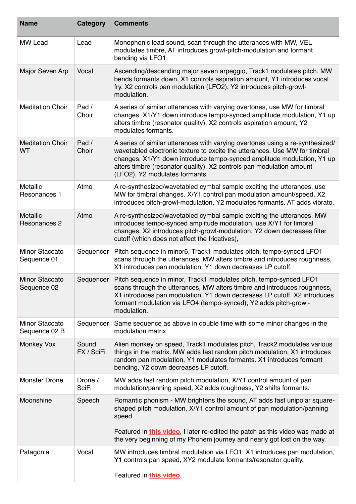| <b>Name</b>                          | Category                | <b>Comments</b>                                                                                                                                                                                                                                                                                                                                 |
|--------------------------------------|-------------------------|-------------------------------------------------------------------------------------------------------------------------------------------------------------------------------------------------------------------------------------------------------------------------------------------------------------------------------------------------|
| <b>MW Lead</b>                       | Lead                    | Monophonic lead sound, scan through the utterances with MW, VEL<br>modulates timbre, AT introduces growl-pitch-modulation and formant<br>bending via LFO1.                                                                                                                                                                                      |
| Major Seven Arp                      | Vocal                   | Ascending/descending major seven arpeggio, Track1 modulates pitch. MW<br>bends formants down, X1 controls aspiration amount, Y1 introduces vocal<br>fry. X2 controls pan modulation (LFO2), Y2 introduces pitch-growl-<br>modulation.                                                                                                           |
| <b>Meditation Choir</b>              | Pad /<br>Choir          | A series of similar utterances with varying overtones, use MW for timbral<br>changes. X1/Y1 down introduce tempo-synced amplitude modulation, Y1 up<br>alters timbre (resonator quality). X2 controls aspiration amount, Y2<br>modulates formants.                                                                                              |
| <b>Meditation Choir</b><br>WT        | Pad /<br>Choir          | A series of similar utterances with varying overtones using a re-synthesized/<br>wavetabled electronic texture to excite the utterances. Use MW for timbral<br>changes. X1/Y1 down introduce tempo-synced amplitude modulation, Y1 up<br>alters timbre (resonator quality). X2 controls pan modulation amount<br>(LFO2), Y2 modulates formants. |
| <b>Metallic</b><br>Resonances 1      | Atmo                    | A re-synthesized/wavetabled cymbal sample exciting the utterances, use<br>MW for timbral changes. X/Y1 control pan modulation amount/speed, X2<br>introduces pitch-growl-modulation, Y2 modulates formants. AT adds vibrato.                                                                                                                    |
| <b>Metallic</b><br>Resonances 2      | Atmo                    | A re-synthesized/wavetabled cymbal sample exciting the utterances. MW<br>introduces tempo-synced amplitude modulation, use X/Y1 for timbral<br>changes, X2 introduces pitch-growl-modulation, Y2 down decreases filter<br>cutoff (which does not affect the fricatives),                                                                        |
| <b>Minor Staccato</b><br>Sequence 01 | Sequencer               | Pitch sequence in minor6, Track1 modulates pitch, tempo-synced LFO1<br>scans through the utterances, MW alters timbre and introduces roughness,<br>X1 introduces pan modulation, Y1 down decreases LP cutoff.                                                                                                                                   |
| <b>Minor Staccato</b><br>Sequence 02 | Sequencer               | Pitch sequence in minor, Track1 modulates pitch, tempo-synced LFO1<br>scans through the utterances, MW alters timbre and introduces roughness,<br>X1 introduces pan modulation, Y1 down decreases LP cutoff. X2 introduces<br>formant modulation via LFO4 (tempo-synced), Y2 adds pitch-growl-<br>modulation.                                   |
| Minor Staccato<br>Sequence 02 B      | Sequencer               | Same sequence as above in double time with some minor changes in the<br>modulation matrix.                                                                                                                                                                                                                                                      |
| <b>Monkey Vox</b>                    | Sound<br>FX / SciFi     | Alien monkey on speed, Track1 modulates pitch, Track2 modulates various<br>things in the matrix. MW adds fast random pitch modulation. X1 introduces<br>random pan modulation, Y1 modulates formants. X1 introduces formant<br>bending, Y2 down decreases LP cutoff.                                                                            |
| <b>Monster Drone</b>                 | Drone /<br><b>SciFi</b> | MW adds fast random pitch modulation, X/Y1 control amount of pan<br>modulation/panning speed, X2 adds roughness, Y2 shifts formants.                                                                                                                                                                                                            |
| Moonshine                            | Speech                  | Romantic phonism - MW brightens the sound, AT adds fast unipolar square-<br>shaped pitch modulation, X/Y1 control amount of pan modulation/panning<br>speed.<br>Featured in this video, I later re-edited the patch as this video was made at<br>the very beginning of my Phonem journey and nearly got lost on the way.                        |
| Patagonia                            | Vocal                   | MW introduces timbral modulation via LFO1, X1 introduces pan modulation,<br>Y1 controls pan speed, XY2 modulate formants/resonator quality.<br>Featured in this video                                                                                                                                                                           |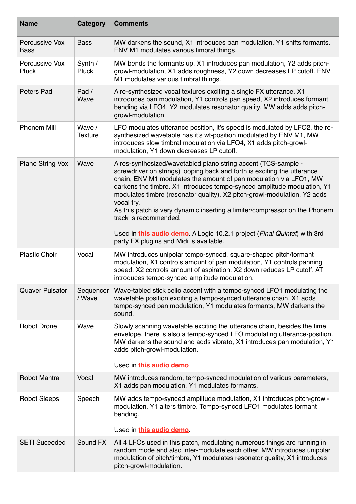| <b>Name</b>                   | Category                 | <b>Comments</b>                                                                                                                                                                                                                                                                                                                                                                                                                                                                                                                                                                                                    |
|-------------------------------|--------------------------|--------------------------------------------------------------------------------------------------------------------------------------------------------------------------------------------------------------------------------------------------------------------------------------------------------------------------------------------------------------------------------------------------------------------------------------------------------------------------------------------------------------------------------------------------------------------------------------------------------------------|
| Percussive Vox<br><b>Bass</b> | <b>Bass</b>              | MW darkens the sound, X1 introduces pan modulation, Y1 shifts formants.<br>ENV M1 modulates various timbral things.                                                                                                                                                                                                                                                                                                                                                                                                                                                                                                |
| Percussive Vox<br>Pluck       | Synth /<br>Pluck         | MW bends the formants up, X1 introduces pan modulation, Y2 adds pitch-<br>growl-modulation, X1 adds roughness, Y2 down decreases LP cutoff. ENV<br>M1 modulates various timbral things.                                                                                                                                                                                                                                                                                                                                                                                                                            |
| Peters Pad                    | Pad /<br>Wave            | A re-synthesized vocal textures exciting a single FX utterance, X1<br>introduces pan modulation, Y1 controls pan speed, X2 introduces formant<br>bending via LFO4, Y2 modulates resonator quality. MW adds adds pitch-<br>growl-modulation.                                                                                                                                                                                                                                                                                                                                                                        |
| <b>Phonem Mill</b>            | Wave /<br><b>Texture</b> | LFO modulates utterance position, it's speed is modulated by LFO2, the re-<br>synthesized wavetable has it's wt-position modulated by ENV M1, MW<br>introduces slow timbral modulation via LFO4, X1 adds pitch-growl-<br>modulation, Y1 down decreases LP cutoff.                                                                                                                                                                                                                                                                                                                                                  |
| Piano String Vox              | Wave                     | A res-synthesized/wavetabled piano string accent (TCS-sample -<br>screwdriver on strings) looping back and forth is exciting the utterance<br>chain, ENV M1 modulates the amount of pan modulation via LFO1, MW<br>darkens the timbre. X1 introduces tempo-synced amplitude modulation, Y1<br>modulates timbre (resonator quality). X2 pitch-growl-modulation, Y2 adds<br>vocal fry.<br>As this patch is very dynamic inserting a limiter/compressor on the Phonem<br>track is recommended.<br>Used in this audio demo. A Logic 10.2.1 project (Final Quintet) with 3rd<br>party FX plugins and Midi is available. |
| <b>Plastic Choir</b>          | Vocal                    | MW introduces unipolar tempo-synced, square-shaped pitch/formant<br>modulation, X1 controls amount of pan modulation, Y1 controls panning<br>speed. X2 controls amount of aspiration, X2 down reduces LP cutoff. AT<br>introduces tempo-synced amplitude modulation.                                                                                                                                                                                                                                                                                                                                               |
| <b>Quaver Pulsator</b>        | Sequencer<br>/ Wave      | Wave-tabled stick cello accent with a tempo-synced LFO1 modulating the<br>wavetable position exciting a tempo-synced utterance chain. X1 adds<br>tempo-synced pan modulation, Y1 modulates formants, MW darkens the<br>sound.                                                                                                                                                                                                                                                                                                                                                                                      |
| <b>Robot Drone</b>            | Wave                     | Slowly scanning wavetable exciting the utterance chain, besides the time<br>envelope, there is also a tempo-synced LFO modulating utterance-position.<br>MW darkens the sound and adds vibrato, X1 introduces pan modulation, Y1<br>adds pitch-growl-modulation.                                                                                                                                                                                                                                                                                                                                                   |
|                               |                          | Used in this audio demo                                                                                                                                                                                                                                                                                                                                                                                                                                                                                                                                                                                            |
| Robot Mantra                  | Vocal                    | MW introduces random, tempo-synced modulation of various parameters,<br>X1 adds pan modulation, Y1 modulates formants.                                                                                                                                                                                                                                                                                                                                                                                                                                                                                             |
| <b>Robot Sleeps</b>           | Speech                   | MW adds tempo-synced amplitude modulation, X1 introduces pitch-growl-<br>modulation, Y1 alters timbre. Tempo-synced LFO1 modulates formant<br>bending.<br>Used in this audio demo.                                                                                                                                                                                                                                                                                                                                                                                                                                 |
| <b>SETI Suceeded</b>          | Sound FX                 | All 4 LFOs used in this patch, modulating numerous things are running in<br>random mode and also inter-modulate each other, MW introduces unipolar<br>modulation of pitch/timbre, Y1 modulates resonator quality, X1 introduces<br>pitch-growl-modulation.                                                                                                                                                                                                                                                                                                                                                         |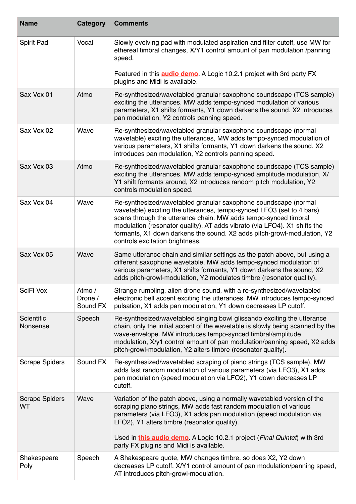| <b>Name</b>                 | Category                      | <b>Comments</b>                                                                                                                                                                                                                                                                                                                                                                                        |
|-----------------------------|-------------------------------|--------------------------------------------------------------------------------------------------------------------------------------------------------------------------------------------------------------------------------------------------------------------------------------------------------------------------------------------------------------------------------------------------------|
| Spirit Pad                  | Vocal                         | Slowly evolving pad with modulated aspiration and filter cutoff, use MW for<br>ethereal timbral changes, X/Y1 control amount of pan modulation /panning<br>speed.                                                                                                                                                                                                                                      |
|                             |                               | Featured in this <b>audio demo</b> . A Logic 10.2.1 project with 3rd party FX<br>plugins and Midi is available.                                                                                                                                                                                                                                                                                        |
| Sax Vox 01                  | Atmo                          | Re-synthesized/wavetabled granular saxophone soundscape (TCS sample)<br>exciting the utterances. MW adds tempo-synced modulation of various<br>parameters, X1 shifts formants, Y1 down darkens the sound. X2 introduces<br>pan modulation, Y2 controls panning speed.                                                                                                                                  |
| Sax Vox 02                  | Wave                          | Re-synthesized/wavetabled granular saxophone soundscape (normal<br>wavetable) exciting the utterances, MW adds tempo-synced modulation of<br>various parameters, X1 shifts formants, Y1 down darkens the sound. X2<br>introduces pan modulation, Y2 controls panning speed.                                                                                                                            |
| Sax Vox 03                  | Atmo                          | Re-synthesized/wavetabled granular saxophone soundscape (TCS sample)<br>exciting the utterances. MW adds tempo-synced amplitude modulation, X/<br>Y1 shift formants around, X2 introduces random pitch modulation, Y2<br>controls modulation speed.                                                                                                                                                    |
| Sax Vox 04                  | Wave                          | Re-synthesized/wavetabled granular saxophone soundscape (normal<br>wavetable) exciting the utterances, tempo-synced LFO3 (set to 4 bars)<br>scans through the utterance chain. MW adds tempo-synced timbral<br>modulation (resonator quality), AT adds vibrato (via LFO4). X1 shifts the<br>formants, X1 down darkens the sound. X2 adds pitch-growl-modulation, Y2<br>controls excitation brightness. |
| Sax Vox 05                  | Wave                          | Same utterance chain and similar settings as the patch above, but using a<br>different saxophone wavetable. MW adds tempo-synced modulation of<br>various parameters, X1 shifts formants, Y1 down darkens the sound, X2<br>adds pitch-growl-modulation, Y2 modulates timbre (resonator quality).                                                                                                       |
| SciFi Vox                   | Atmo /<br>Drone /<br>Sound FX | Strange rumbling, alien drone sound, with a re-synthesized/wavetabled<br>electronic bell accent exciting the utterances. MW introduces tempo-synced<br>pulsation, X1 adds pan modulation, Y1 down decreases LP cutoff.                                                                                                                                                                                 |
| Scientific<br>Nonsense      | Speech                        | Re-synthesized/wavetabled singing bowl glissando exciting the utterance<br>chain, only the initial accent of the wavetable is slowly being scanned by the<br>wave-envelope. MW introduces tempo-synced timbral/amplitude<br>modulation, X/y1 control amount of pan modulation/panning speed, X2 adds<br>pitch-growl-modulation, Y2 alters timbre (resonator quality).                                  |
| <b>Scrape Spiders</b>       | Sound FX                      | Re-synthesized/wavetabled scraping of piano strings (TCS sample), MW<br>adds fast random modulation of various parameters (via LFO3), X1 adds<br>pan modulation (speed modulation via LFO2), Y1 down decreases LP<br>cutoff.                                                                                                                                                                           |
| <b>Scrape Spiders</b><br>WT | Wave                          | Variation of the patch above, using a normally wavetabled version of the<br>scraping piano strings, MW adds fast random modulation of various<br>parameters (via LFO3), X1 adds pan modulation (speed modulation via<br>LFO2), Y1 alters timbre (resonator quality).                                                                                                                                   |
|                             |                               | Used in this audio demo. A Logic 10.2.1 project (Final Quintet) with 3rd<br>party FX plugins and Midi is available.                                                                                                                                                                                                                                                                                    |
| Shakespeare<br>Poly         | Speech                        | A Shakespeare quote, MW changes timbre, so does X2, Y2 down<br>decreases LP cutoff, X/Y1 control amount of pan modulation/panning speed,<br>AT introduces pitch-growl-modulation.                                                                                                                                                                                                                      |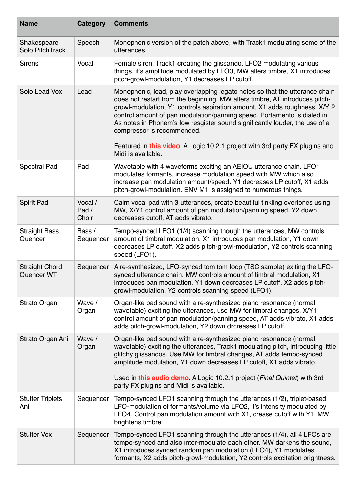| <b>Name</b>                         | Category                  | <b>Comments</b>                                                                                                                                                                                                                                                                                                                                                                                                                                                                                                          |
|-------------------------------------|---------------------------|--------------------------------------------------------------------------------------------------------------------------------------------------------------------------------------------------------------------------------------------------------------------------------------------------------------------------------------------------------------------------------------------------------------------------------------------------------------------------------------------------------------------------|
| Shakespeare<br>Solo PitchTrack      | Speech                    | Monophonic version of the patch above, with Track1 modulating some of the<br>utterances.                                                                                                                                                                                                                                                                                                                                                                                                                                 |
| <b>Sirens</b>                       | Vocal                     | Female siren, Track1 creating the glissando, LFO2 modulating various<br>things, it's amplitude modulated by LFO3, MW alters timbre, X1 introduces<br>pitch-growl-modulation, Y1 decreases LP cutoff.                                                                                                                                                                                                                                                                                                                     |
| Solo Lead Vox                       | Lead                      | Monophonic, lead, play overlapping legato notes so that the utterance chain<br>does not restart from the beginning. MW alters timbre, AT introduces pitch-<br>growl-modulation, Y1 controls aspiration amount, X1 adds roughness. X/Y 2<br>control amount of pan modulation/panning speed. Portamento is dialed in.<br>As notes in Phonem's low resgister sound significantly louder, the use of a<br>compressor is recommended.<br>Featured in <b>this video</b> . A Logic 10.2.1 project with 3rd party FX plugins and |
|                                     |                           | Midi is available.                                                                                                                                                                                                                                                                                                                                                                                                                                                                                                       |
| <b>Spectral Pad</b>                 | Pad                       | Wavetable with 4 waveforms exciting an AEIOU utterance chain. LFO1<br>modulates formants, increase modulation speed with MW which also<br>increase pan modulation amount/speed. Y1 decreases LP cutoff, X1 adds<br>pitch-growl-modulation. ENV M1 is assigned to numerous things.                                                                                                                                                                                                                                        |
| <b>Spirit Pad</b>                   | Vocal /<br>Pad /<br>Choir | Calm vocal pad with 3 utterances, create beautiful tinkling overtones using<br>MW, X/Y1 control amount of pan modulation/panning speed. Y2 down<br>decreases cutoff, AT adds vibrato.                                                                                                                                                                                                                                                                                                                                    |
| <b>Straight Bass</b><br>Quencer     | Bass /<br>Sequencer       | Tempo-synced LFO1 (1/4) scanning though the utterances, MW controls<br>amount of timbral modulation, X1 introduces pan modulation, Y1 down<br>decreases LP cutoff. X2 adds pitch-growl-modulation, Y2 controls scanning<br>speed (LFO1).                                                                                                                                                                                                                                                                                 |
| <b>Straight Chord</b><br>Quencer WT | Sequencer                 | A re-synthesized, LFO-synced tom tom loop (TSC sample) exiting the LFO-<br>synced utterance chain. MW controls amount of timbral modulation, X1<br>introduces pan modulation, Y1 down decreases LP cutoff. X2 adds pitch-<br>growl-modulation, Y2 controls scanning speed (LFO1).                                                                                                                                                                                                                                        |
| Strato Organ                        | Wave /<br>Organ           | Organ-like pad sound with a re-synthesized piano resonance (normal<br>wavetable) exciting the utterances, use MW for timbral changes, X/Y1<br>control amount of pan modulation/panning speed, AT adds vibrato, X1 adds<br>adds pitch-growl-modulation, Y2 down drcreases LP cutoff.                                                                                                                                                                                                                                      |
| Strato Organ Ani                    | Wave /<br>Organ           | Organ-like pad sound with a re-synthesized piano resonance (normal<br>wavetable) exciting the utterances, Track1 modulating pitch, introducing little<br>glitchy glissandos. Use MW for timbral changes, AT adds tempo-synced<br>amplitude modulation, Y1 down decreases LP cutoff, X1 adds vibrato.                                                                                                                                                                                                                     |
|                                     |                           | Used in this audio demo. A Logic 10.2.1 project (Final Quintet) with 3rd<br>party FX plugins and Midi is available.                                                                                                                                                                                                                                                                                                                                                                                                      |
| <b>Stutter Triplets</b><br>Ani      | Sequencer                 | Tempo-synced LFO1 scanning through the utterances (1/2), triplet-based<br>LFO-modulation of formants/volume via LFO2, it's intensity modulated by<br>LFO4. Control pan modulation amount with X1, crease cutoff with Y1. MW<br>brightens timbre.                                                                                                                                                                                                                                                                         |
| <b>Stutter Vox</b>                  | Sequencer                 | Tempo-synced LFO1 scanning through the utterances (1/4), all 4 LFOs are<br>tempo-synced and also inter-modulate each other. MW darkens the sound,<br>X1 introduces synced random pan modulation (LFO4), Y1 modulates<br>formants, X2 adds pitch-growl-modulation, Y2 controls excitation brightness.                                                                                                                                                                                                                     |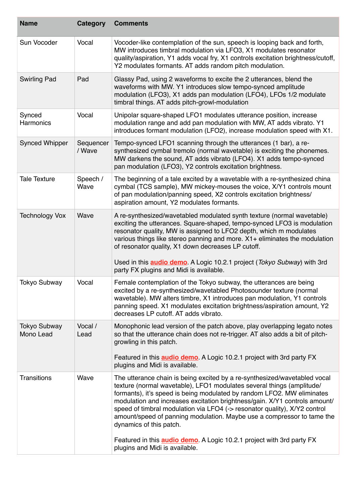| <b>Name</b>                      | Category            | <b>Comments</b>                                                                                                                                                                                                                                                                                                                                                                                                                                                                                                                                                               |
|----------------------------------|---------------------|-------------------------------------------------------------------------------------------------------------------------------------------------------------------------------------------------------------------------------------------------------------------------------------------------------------------------------------------------------------------------------------------------------------------------------------------------------------------------------------------------------------------------------------------------------------------------------|
| Sun Vocoder                      | Vocal               | Vocoder-like contemplation of the sun, speech is looping back and forth,<br>MW introduces timbral modulation via LFO3, X1 modulates resonator<br>quality/aspiration, Y1 adds vocal fry, X1 controls excitation brightness/cutoff,<br>Y2 modulates formants. AT adds random pitch modulation.                                                                                                                                                                                                                                                                                  |
| <b>Swirling Pad</b>              | Pad                 | Glassy Pad, using 2 waveforms to excite the 2 utterances, blend the<br>waveforms with MW. Y1 introduces slow tempo-synced amplitude<br>modulation (LFO3), X1 adds pan modulation (LFO4), LFOs 1/2 modulate<br>timbral things. AT adds pitch-growl-modulation                                                                                                                                                                                                                                                                                                                  |
| Synced<br>Harmonics              | Vocal               | Unipolar square-shaped LFO1 modulates utterance position, increase<br>modulation range and add pan modulation with MW, AT adds vibrato. Y1<br>introduces formant modulation (LFO2), increase modulation speed with X1.                                                                                                                                                                                                                                                                                                                                                        |
| <b>Synced Whipper</b>            | Sequencer<br>/ Wave | Tempo-synced LFO1 scanning through the utterances (1 bar), a re-<br>synthesized cymbal tremolo (normal wavetable) is exciting the phonemes.<br>MW darkens the sound, AT adds vibrato (LFO4). X1 adds tempo-synced<br>pan modulation (LFO3), Y2 controls excitation brightness.                                                                                                                                                                                                                                                                                                |
| <b>Tale Texture</b>              | Speech /<br>Wave    | The beginning of a tale excited by a wavetable with a re-synthesized china<br>cymbal (TCS sample), MW mickey-mouses the voice, X/Y1 controls mount<br>of pan modulation/panning speed, X2 controls excitation brightness/<br>aspiration amount, Y2 modulates formants.                                                                                                                                                                                                                                                                                                        |
| <b>Technology Vox</b>            | Wave                | A re-synthesized/wavetabled modulated synth texture (normal wavetable)<br>exciting the utterances. Square-shaped, tempo-synced LFO3 is modulation<br>resonator quality, MW is assigned to LFO2 depth, which m modulates<br>various things like stereo panning and more. X1+ eliminates the modulation<br>of resonator quality, X1 down decreases LP cutoff.<br>Used in this <b>audio demo</b> . A Logic 10.2.1 project (Tokyo Subway) with 3rd                                                                                                                                |
| <b>Tokyo Subway</b>              | Vocal               | party FX plugins and Midi is available.<br>Female contemplation of the Tokyo subway, the utterances are being<br>excited by a re-synthesized/wavetabled Photosounder texture (normal<br>wavetable). MW alters timbre, X1 introduces pan modulation, Y1 controls<br>panning speed. X1 modulates excitation brightness/aspiration amount, Y2<br>decreases LP cutoff. AT adds vibrato.                                                                                                                                                                                           |
| <b>Tokyo Subway</b><br>Mono Lead | Vocal /<br>Lead     | Monophonic lead version of the patch above, play overlapping legato notes<br>so that the utterance chain does not re-trigger. AT also adds a bit of pitch-<br>growling in this patch.<br>Featured in this <b>audio demo</b> . A Logic 10.2.1 project with 3rd party FX<br>plugins and Midi is available.                                                                                                                                                                                                                                                                      |
| <b>Transitions</b>               | Wave                | The utterance chain is being excited by a re-synthesized/wavetabled vocal<br>texture (normal wavetable), LFO1 modulates several things (amplitude/<br>formants), it's speed is being modulated by random LFO2. MW eliminates<br>modulation and increases excitation brightness/gain. X/Y1 controls amount/<br>speed of timbral modulation via LFO4 (-> resonator quality), X/Y2 control<br>amount/speed of panning modulation. Maybe use a compressor to tame the<br>dynamics of this patch.<br>Featured in this <b>audio demo</b> . A Logic 10.2.1 project with 3rd party FX |
|                                  |                     | plugins and Midi is available.                                                                                                                                                                                                                                                                                                                                                                                                                                                                                                                                                |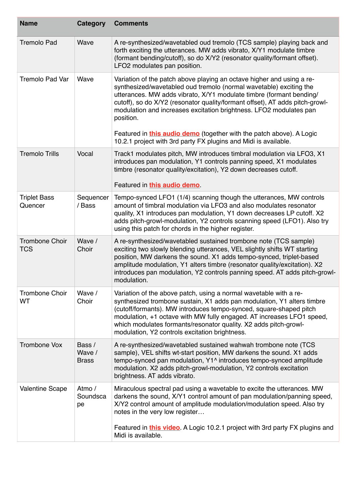| <b>Name</b>                         | Category                         | <b>Comments</b>                                                                                                                                                                                                                                                                                                                                                                                                                                                                                                                         |
|-------------------------------------|----------------------------------|-----------------------------------------------------------------------------------------------------------------------------------------------------------------------------------------------------------------------------------------------------------------------------------------------------------------------------------------------------------------------------------------------------------------------------------------------------------------------------------------------------------------------------------------|
| <b>Tremolo Pad</b>                  | Wave                             | A re-synthesized/wavetabled oud tremolo (TCS sample) playing back and<br>forth exciting the utterances. MW adds vibrato, X/Y1 modulate timbre<br>(formant bending/cutoff), so do X/Y2 (resonator quality/formant offset).<br>LFO2 modulates pan position.                                                                                                                                                                                                                                                                               |
| <b>Tremolo Pad Var</b>              | Wave                             | Variation of the patch above playing an octave higher and using a re-<br>synthesized/wavetabled oud tremolo (normal wavetable) exciting the<br>utterances. MW adds vibrato, X/Y1 modulate timbre (formant bending/<br>cutoff), so do X/Y2 (resonator quality/formant offset), AT adds pitch-growl-<br>modulation and increases excitation brightness. LFO2 modulates pan<br>position.<br>Featured in <b>this audio demo</b> (together with the patch above). A Logic<br>10.2.1 project with 3rd party FX plugins and Midi is available. |
| <b>Tremolo Trills</b>               | Vocal                            | Track1 modulates pitch, MW introduces timbral modulation via LFO3, X1<br>introduces pan modulation, Y1 controls panning speed, X1 modulates<br>timbre (resonator quality/excitation), Y2 down decreases cutoff.<br>Featured in this audio demo.                                                                                                                                                                                                                                                                                         |
| <b>Triplet Bass</b><br>Quencer      | Sequencer<br>/ Bass              | Tempo-synced LFO1 (1/4) scanning though the utterances, MW controls<br>amount of timbral modulation via LFO3 and also modulates resonator<br>quality, X1 introduces pan modulation, Y1 down decreases LP cutoff. X2<br>adds pitch-growl-modulation, Y2 controls scanning speed (LFO1). Also try<br>using this patch for chords in the higher register.                                                                                                                                                                                  |
| <b>Trombone Choir</b><br><b>TCS</b> | Wave /<br>Choir                  | A re-synthesized/wavetabled sustained trombone note (TCS sample)<br>exciting two slowly blending utterances, VEL slightly shifts WT starting<br>position, MW darkens the sound. X1 adds tempo-synced, triplet-based<br>amplitude modulation, Y1 alters timbre (resonator quality/excitation). X2<br>introduces pan modulation, Y2 controls panning speed. AT adds pitch-growl-<br>modulation.                                                                                                                                           |
| <b>Trombone Choir</b><br>WT         | Wave /<br>Choir                  | Variation of the above patch, using a normal wavetable with a re-<br>synthesized trombone sustain, X1 adds pan modulation, Y1 alters timbre<br>(cutoff/formants). MW introduces tempo-synced, square-shaped pitch<br>modulation, +1 octave with MW fully engaged. AT increases LFO1 speed,<br>which modulates formants/resonator quality. X2 adds pitch-growl-<br>modulation, Y2 controls excitation brightness.                                                                                                                        |
| <b>Trombone Vox</b>                 | Bass /<br>Wave /<br><b>Brass</b> | A re-synthesized/wavetabled sustained wahwah trombone note (TCS<br>sample), VEL shifts wt-start position, MW darkens the sound. X1 adds<br>tempo-synced pan modulation, Y1^ introduces tempo-synced amplitude<br>modulation. X2 adds pitch-growl-modulation, Y2 controls excitation<br>brightness. AT adds vibrato.                                                                                                                                                                                                                     |
| <b>Valentine Scape</b>              | Atmo /<br>Soundsca<br>pe         | Miraculous spectral pad using a wavetable to excite the utterances. MW<br>darkens the sound, X/Y1 control amount of pan modulation/panning speed,<br>X/Y2 control amount of amplitude modulation/modulation speed. Also try<br>notes in the very low register<br>Featured in <b>this video</b> . A Logic 10.2.1 project with 3rd party FX plugins and<br>Midi is available.                                                                                                                                                             |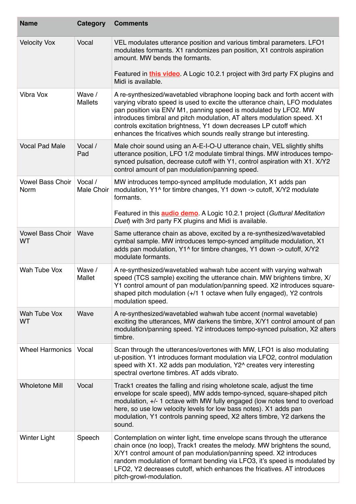| <b>Name</b>                            | Category                 | <b>Comments</b>                                                                                                                                                                                                                                                                                                                                                                                                                                    |
|----------------------------------------|--------------------------|----------------------------------------------------------------------------------------------------------------------------------------------------------------------------------------------------------------------------------------------------------------------------------------------------------------------------------------------------------------------------------------------------------------------------------------------------|
| <b>Velocity Vox</b>                    | Vocal                    | VEL modulates utterance position and various timbral parameters. LFO1<br>modulates formants. X1 randomizes pan position, X1 controls aspiration<br>amount. MW bends the formants.                                                                                                                                                                                                                                                                  |
|                                        |                          | Featured in <b>this video</b> . A Logic 10.2.1 project with 3rd party FX plugins and<br>Midi is available.                                                                                                                                                                                                                                                                                                                                         |
| Vibra Vox                              | Wave /<br><b>Mallets</b> | A re-synthesized/wavetabled vibraphone looping back and forth accent with<br>varying vibrato speed is used to excite the utterance chain, LFO modulates<br>pan position via ENV M1, panning speed is modulated by LFO2. MW<br>introduces timbral and pitch modulation, AT alters modulation speed. X1<br>controls excitation brightness, Y1 down decreases LP cutoff which<br>enhances the fricatives which sounds really strange but interesting. |
| <b>Vocal Pad Male</b>                  | Vocal /<br>Pad           | Male choir sound using an A-E-I-O-U utterance chain, VEL slightly shifts<br>utterance position, LFO 1/2 modulate timbral things. MW introduces tempo-<br>synced pulsation, decrease cutoff with Y1, control aspiration with X1. X/Y2<br>control amount of pan modulation/panning speed.                                                                                                                                                            |
| <b>Vowel Bass Choir</b><br><b>Norm</b> | Vocal /<br>Male Choir    | MW introduces tempo-synced amplitude modulation, X1 adds pan<br>modulation, Y1^ for timbre changes, Y1 down -> cutoff, X/Y2 modulate<br>formants.<br>Featured in this <b>audio demo</b> . A Logic 10.2.1 project (Guttural Meditation                                                                                                                                                                                                              |
|                                        |                          | Duet) with 3rd party FX plugins and Midi is available.                                                                                                                                                                                                                                                                                                                                                                                             |
| <b>Vowel Bass Choir</b><br><b>WT</b>   | Wave                     | Same utterance chain as above, excited by a re-synthesized/wavetabled<br>cymbal sample. MW introduces tempo-synced amplitude modulation, X1<br>adds pan modulation, Y1^ for timbre changes, Y1 down -> cutoff, X/Y2<br>modulate formants.                                                                                                                                                                                                          |
| Wah Tube Vox                           | Wave /<br>Mallet         | A re-synthesized/wavetabled wahwah tube accent with varying wahwah<br>speed (TCS sample) exciting the utterance chain. MW brightens timbre, X/<br>Y1 control amount of pan modulation/panning speed. X2 introduces square-<br>shaped pitch modulation (+/1 1 octave when fully engaged), Y2 controls<br>modulation speed.                                                                                                                          |
| Wah Tube Vox<br><b>WT</b>              | Wave                     | A re-synthesized/wavetabled wahwah tube accent (normal wavetable)<br>exciting the utterances, MW darkens the timbre, X/Y1 control amount of pan<br>modulation/panning speed. Y2 introduces tempo-synced pulsation, X2 alters<br>timbre.                                                                                                                                                                                                            |
| <b>Wheel Harmonics</b>                 | Vocal                    | Scan through the utterances/overtones with MW, LFO1 is also modulating<br>ut-position. Y1 introduces formant modulation via LFO2, control modulation<br>speed with X1. X2 adds pan modulation, Y2^ creates very interesting<br>spectral overtone timbres. AT adds vibrato.                                                                                                                                                                         |
| <b>Wholetone Mill</b>                  | Vocal                    | Track1 creates the falling and rising wholetone scale, adjust the time<br>envelope for scale speed), MW adds tempo-synced, square-shaped pitch<br>modulation, +/- 1 octave with MW fully engaged (low notes tend to overload<br>here, so use low velocity levels for low bass notes). X1 adds pan<br>modulation, Y1 controls panning speed, X2 alters timbre, Y2 darkens the<br>sound.                                                             |
| <b>Winter Light</b>                    | Speech                   | Contemplation on winter light, time envelope scans through the utterance<br>chain once (no loop), Track1 creates the melody. MW brightens the sound,<br>X/Y1 control amount of pan modulation/panning speed. X2 introduces<br>random modulation of formant bending via LFO3, it's speed is modulated by<br>LFO2, Y2 decreases cutoff, which enhances the fricatives. AT introduces<br>pitch-growl-modulation.                                      |